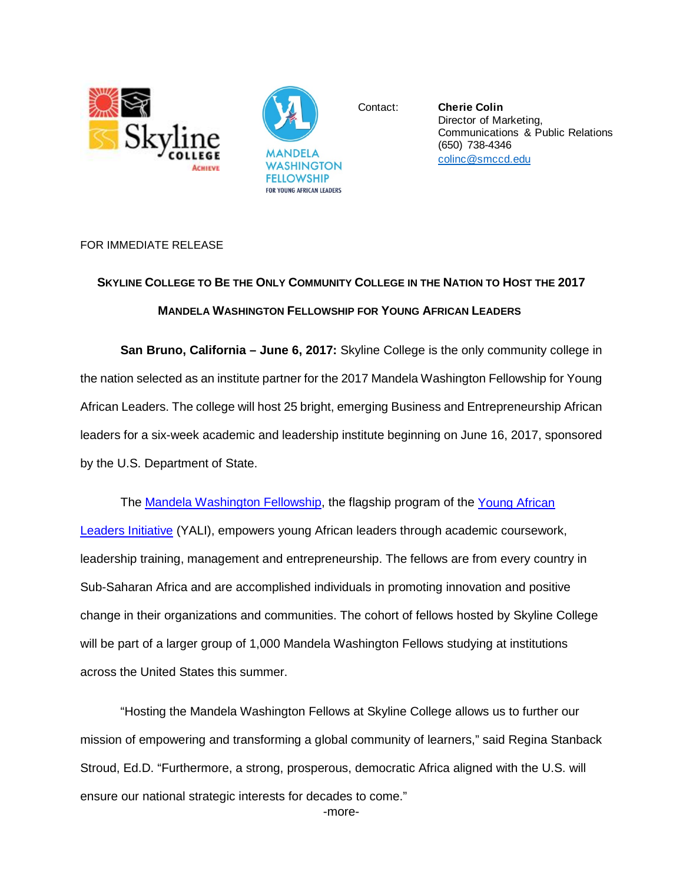



Contact: **Cherie Colin** Director of Marketing, [Communications & Public Relations](mailto:colinc@smccd.edu) (650) 738-4346 colinc@smccd.edu

## FOR IMMEDIATE RELEASE

## **SKYLINE COLLEGE TO BE THE ONLY COMMUNITY COLLEGE IN THE NATION TO HOST THE 2017 MANDELA WASHINGTON FELLOWSHIP FOR YOUNG AFRICAN LEADERS**

**San Bruno, California – June 6, 2017:** Skyline College is the only community college in the nation selected as an institute partner for the 2017 Mandela Washington Fellowship for Young African Leaders. The college will host 25 bright, emerging Business and Entrepreneurship African leaders for a six-week academic and leadership institute beginning on June 16, 2017, sponsored by the U.S. Department of State.

The [Mandela Washington Fellowship,](https://yali.state.gov/washington-fellowship/) the flagship program of the Young African [Leaders Initiative](http://youngafricanleaders.state.gov/) (YALI), empowers young African leaders through academic coursework, leadership training, management and entrepreneurship. The fellows are from every country in Sub-Saharan Africa and are accomplished individuals in promoting innovation and positive change in their organizations and communities. The cohort of fellows hosted by Skyline College will be part of a larger group of 1,000 Mandela Washington Fellows studying at institutions across the United States this summer.

"Hosting the Mandela Washington Fellows at Skyline College allows us to further our mission of empowering and transforming a global community of learners," said Regina Stanback Stroud, Ed.D. "Furthermore, a strong, prosperous, democratic Africa aligned with the U.S. will ensure our national strategic interests for decades to come."